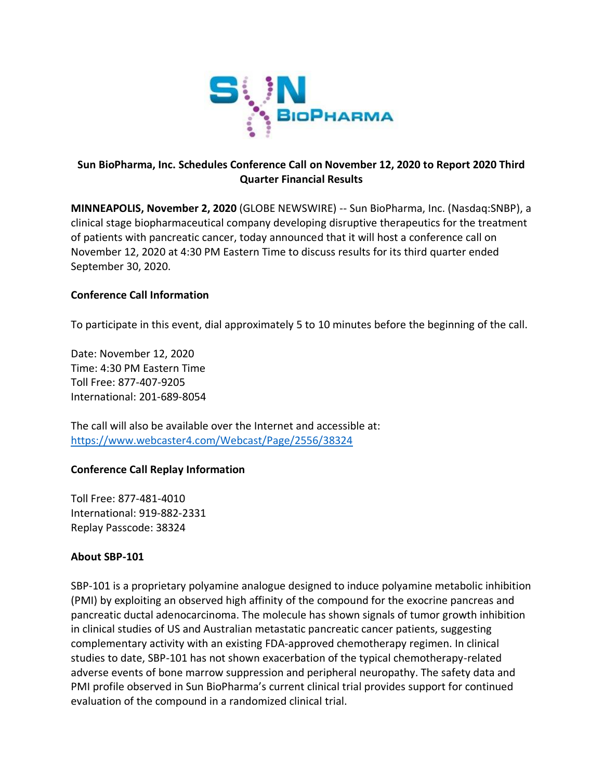

# **Sun BioPharma, Inc. Schedules Conference Call on November 12, 2020 to Report 2020 Third Quarter Financial Results**

**MINNEAPOLIS, November 2, 2020** (GLOBE NEWSWIRE) -- Sun BioPharma, Inc. (Nasdaq:SNBP), a clinical stage biopharmaceutical company developing disruptive therapeutics for the treatment of patients with pancreatic cancer, today announced that it will host a conference call on November 12, 2020 at 4:30 PM Eastern Time to discuss results for its third quarter ended September 30, 2020.

## **Conference Call Information**

To participate in this event, dial approximately 5 to 10 minutes before the beginning of the call.

Date: November 12, 2020 Time: 4:30 PM Eastern Time Toll Free: 877-407-9205 International: 201-689-8054

The call will also be available over the Internet and accessible at: <https://www.webcaster4.com/Webcast/Page/2556/38324>

### **Conference Call Replay Information**

Toll Free: 877-481-4010 International: 919-882-2331 Replay Passcode: 38324

### **About SBP-101**

SBP-101 is a proprietary polyamine analogue designed to induce polyamine metabolic inhibition (PMI) by exploiting an observed high affinity of the compound for the exocrine pancreas and pancreatic ductal adenocarcinoma. The molecule has shown signals of tumor growth inhibition in clinical studies of US and Australian metastatic pancreatic cancer patients, suggesting complementary activity with an existing FDA-approved chemotherapy regimen. In clinical studies to date, SBP-101 has not shown exacerbation of the typical chemotherapy-related adverse events of bone marrow suppression and peripheral neuropathy. The safety data and PMI profile observed in Sun BioPharma's current clinical trial provides support for continued evaluation of the compound in a randomized clinical trial.